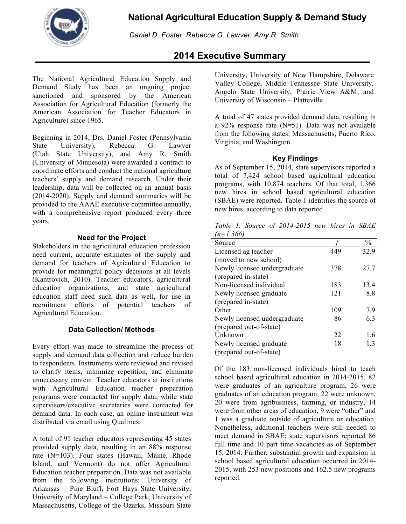

!!**National Agricultural Education Supply & Demand Study**

*Daniel D. Foster, Rebecca G. Lawver, Amy R. Smith*

# **2014 Executive Summary**

The National Agricultural Education Supply and Demand Study has been an ongoing project sanctioned and sponsored by the American Association for Agricultural Education (formerly the American Association for Teacher Educators in Agriculture) since 1965.

Beginning in 2014, Drs. Daniel Foster (Pennsylvania State University), Rebecca G. Lawver (Utah State University), and Amy R. Smith (University of Minnesota) were awarded a contract to coordinate efforts and conduct the national agriculture teachers' supply and demand research. Under their leadership, data will be collected on an annual basis (2014-2020). Supply and demand summaries will be provided to the AAAE executive committee annually, with a comprehensive report produced every three years.

## **Need for the Project**

Stakeholders in the agricultural education profession need current, accurate estimates of the supply and demand for teachers of Agricultural Education to provide for meaningful policy decisions at all levels (Kantrovich, 2010). Teacher educators, agricultural education organizations, and state agricultural education staff need such data as well, for use in recruitment efforts of potential teachers of Agricultural Education.

## **Data Collection/ Methods**

Every effort was made to streamline the process of supply and demand data collection and reduce burden to respondents. Instruments were reviewed and revised to clarify items, minimize repetition, and eliminate unnecessary content. Teacher educators at institutions with Agricultural Education teacher preparation programs were contacted for supply data, while state supervisors/executive secretaries were contacted for demand data. In each case, an online instrument was distributed via email using Qualtrics.

A total of 91 teacher educators representing 45 states provided supply data, resulting in an 88% response rate (N=103). Four states (Hawaii, Maine, Rhode Island, and Vermont) do not offer Agricultural Education teacher preparation. Data was not available from the following institutions: University of Arkansas – Pine Bluff, Fort Hays State University, University of Maryland – College Park, University of Massachusetts, College of the Ozarks, Missouri State

University, University of New Hampshire, Delaware Valley College, Middle Tennessee State University, Angelo State University, Prairie View A&M, and University of Wisconsin – Platteville.

A total of 47 states provided demand data, resulting in a 92% response rate (N=51). Data was not available from the following states: Massachusetts, Puerto Rico, Virginia, and Washington.

#### **Key Findings**

As of September 15, 2014, state supervisors reported a total of 7,424 school based agricultural education programs, with 10,874 teachers. Of that total, 1,366 new hires in school based agricultural education (SBAE) were reported. Table 1 identifies the source of new hires, according to data reported.

*Table 1. Source of 2014-2015 new hires in SBAE (n=1,366)*

| Source                       |     | $\%$ |
|------------------------------|-----|------|
| Licensed ag teacher          | 449 | 32.9 |
| (moved to new school)        |     |      |
| Newly licensed undergraduate | 378 | 27.7 |
| (prepared in-state)          |     |      |
| Non-licensed individual      | 183 | 13.4 |
| Newly licensed graduate      | 121 | 8.8  |
| (prepared in-state)          |     |      |
| Other                        | 109 | 7.9  |
| Newly licensed undergraduate | 86  | 6.3  |
| (prepared out-of-state)      |     |      |
| Unknown                      | 22  | 1.6  |
| Newly licensed graduate      | 18  | 1.3  |
| (prepared out-of-state)      |     |      |

Of the 183 non-licensed individuals hired to teach school based agricultural education in 2014-2015, 82 were graduates of an agriculture program, 26 were graduates of an education program, 22 were unknown, 20 were from agribusiness, farming, or industry, 14 were from other areas of education, 9 were "other" and 1 was a graduate outside of agriculture or education. Nonetheless, additional teachers were still needed to meet demand in SBAE; state supervisors reported 86 full time and 10 part time vacancies as of September 15, 2014. Further, substantial growth and expansion in school based agricultural education occurred in 2014- 2015, with 253 new positions and 162.5 new programs reported.